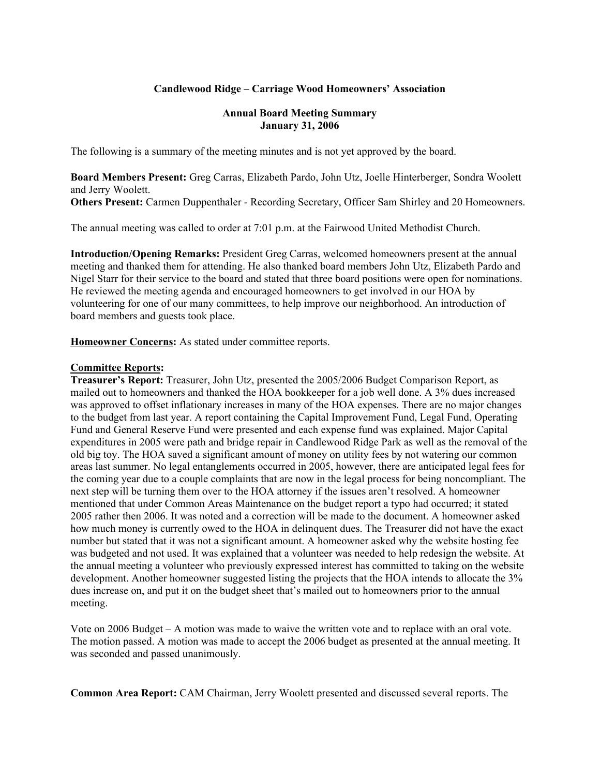### **Candlewood Ridge – Carriage Wood Homeowners' Association**

#### **Annual Board Meeting Summary January 31, 2006**

The following is a summary of the meeting minutes and is not yet approved by the board.

**Board Members Present:** Greg Carras, Elizabeth Pardo, John Utz, Joelle Hinterberger, Sondra Woolett and Jerry Woolett. **Others Present:** Carmen Duppenthaler - Recording Secretary, Officer Sam Shirley and 20 Homeowners.

The annual meeting was called to order at 7:01 p.m. at the Fairwood United Methodist Church.

**Introduction/Opening Remarks:** President Greg Carras, welcomed homeowners present at the annual meeting and thanked them for attending. He also thanked board members John Utz, Elizabeth Pardo and Nigel Starr for their service to the board and stated that three board positions were open for nominations. He reviewed the meeting agenda and encouraged homeowners to get involved in our HOA by volunteering for one of our many committees, to help improve our neighborhood. An introduction of board members and guests took place.

**Homeowner Concerns:** As stated under committee reports.

#### **Committee Reports:**

**Treasurer's Report:** Treasurer, John Utz, presented the 2005/2006 Budget Comparison Report, as mailed out to homeowners and thanked the HOA bookkeeper for a job well done. A 3% dues increased was approved to offset inflationary increases in many of the HOA expenses. There are no major changes to the budget from last year. A report containing the Capital Improvement Fund, Legal Fund, Operating Fund and General Reserve Fund were presented and each expense fund was explained. Major Capital expenditures in 2005 were path and bridge repair in Candlewood Ridge Park as well as the removal of the old big toy. The HOA saved a significant amount of money on utility fees by not watering our common areas last summer. No legal entanglements occurred in 2005, however, there are anticipated legal fees for the coming year due to a couple complaints that are now in the legal process for being noncompliant. The next step will be turning them over to the HOA attorney if the issues aren't resolved. A homeowner mentioned that under Common Areas Maintenance on the budget report a typo had occurred; it stated 2005 rather then 2006. It was noted and a correction will be made to the document. A homeowner asked how much money is currently owed to the HOA in delinquent dues. The Treasurer did not have the exact number but stated that it was not a significant amount. A homeowner asked why the website hosting fee was budgeted and not used. It was explained that a volunteer was needed to help redesign the website. At the annual meeting a volunteer who previously expressed interest has committed to taking on the website development. Another homeowner suggested listing the projects that the HOA intends to allocate the 3% dues increase on, and put it on the budget sheet that's mailed out to homeowners prior to the annual meeting.

Vote on 2006 Budget – A motion was made to waive the written vote and to replace with an oral vote. The motion passed. A motion was made to accept the 2006 budget as presented at the annual meeting. It was seconded and passed unanimously.

**Common Area Report:** CAM Chairman, Jerry Woolett presented and discussed several reports. The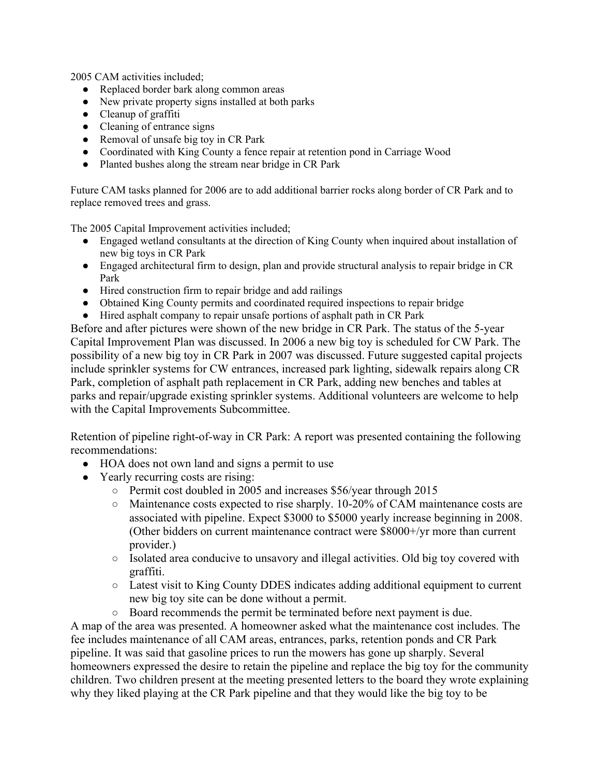2005 CAM activities included;

- Replaced border bark along common areas
- New private property signs installed at both parks
- Cleanup of graffiti
- Cleaning of entrance signs
- Removal of unsafe big toy in CR Park
- Coordinated with King County a fence repair at retention pond in Carriage Wood
- Planted bushes along the stream near bridge in CR Park

Future CAM tasks planned for 2006 are to add additional barrier rocks along border of CR Park and to replace removed trees and grass.

The 2005 Capital Improvement activities included;

- Engaged wetland consultants at the direction of King County when inquired about installation of new big toys in CR Park
- Engaged architectural firm to design, plan and provide structural analysis to repair bridge in CR Park
- Hired construction firm to repair bridge and add railings
- Obtained King County permits and coordinated required inspections to repair bridge
- Hired asphalt company to repair unsafe portions of asphalt path in CR Park

Before and after pictures were shown of the new bridge in CR Park. The status of the 5-year Capital Improvement Plan was discussed. In 2006 a new big toy is scheduled for CW Park. The possibility of a new big toy in CR Park in 2007 was discussed. Future suggested capital projects include sprinkler systems for CW entrances, increased park lighting, sidewalk repairs along CR Park, completion of asphalt path replacement in CR Park, adding new benches and tables at parks and repair/upgrade existing sprinkler systems. Additional volunteers are welcome to help with the Capital Improvements Subcommittee.

Retention of pipeline right-of-way in CR Park: A report was presented containing the following recommendations:

- HOA does not own land and signs a permit to use
- Yearly recurring costs are rising:
	- Permit cost doubled in 2005 and increases \$56/year through 2015
	- Maintenance costs expected to rise sharply. 10-20% of CAM maintenance costs are associated with pipeline. Expect \$3000 to \$5000 yearly increase beginning in 2008. (Other bidders on current maintenance contract were \$8000+/yr more than current provider.)
	- Isolated area conducive to unsavory and illegal activities. Old big toy covered with graffiti.
	- Latest visit to King County DDES indicates adding additional equipment to current new big toy site can be done without a permit.
	- Board recommends the permit be terminated before next payment is due.

A map of the area was presented. A homeowner asked what the maintenance cost includes. The fee includes maintenance of all CAM areas, entrances, parks, retention ponds and CR Park pipeline. It was said that gasoline prices to run the mowers has gone up sharply. Several homeowners expressed the desire to retain the pipeline and replace the big toy for the community children. Two children present at the meeting presented letters to the board they wrote explaining why they liked playing at the CR Park pipeline and that they would like the big toy to be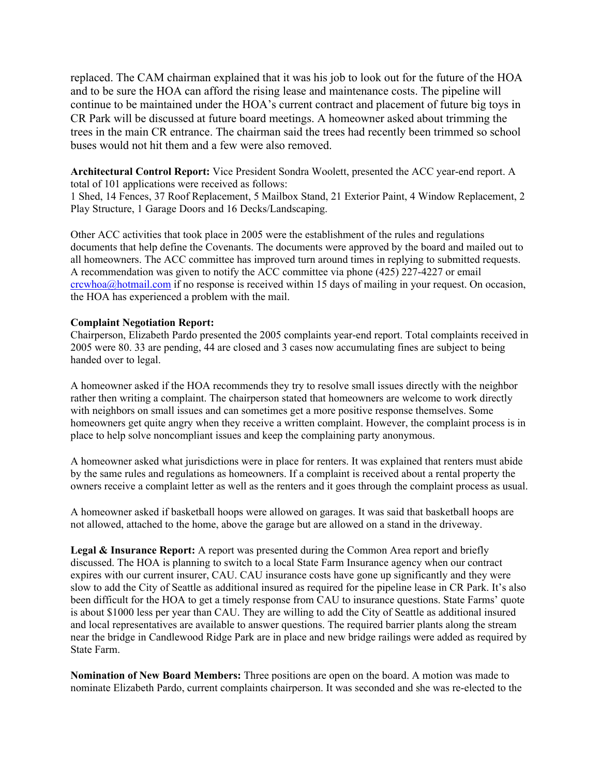replaced. The CAM chairman explained that it was his job to look out for the future of the HOA and to be sure the HOA can afford the rising lease and maintenance costs. The pipeline will continue to be maintained under the HOA's current contract and placement of future big toys in CR Park will be discussed at future board meetings. A homeowner asked about trimming the trees in the main CR entrance. The chairman said the trees had recently been trimmed so school buses would not hit them and a few were also removed.

**Architectural Control Report:** Vice President Sondra Woolett, presented the ACC year-end report. A total of 101 applications were received as follows:

1 Shed, 14 Fences, 37 Roof Replacement, 5 Mailbox Stand, 21 Exterior Paint, 4 Window Replacement, 2 Play Structure, 1 Garage Doors and 16 Decks/Landscaping.

Other ACC activities that took place in 2005 were the establishment of the rules and regulations documents that help define the Covenants. The documents were approved by the board and mailed out to all homeowners. The ACC committee has improved turn around times in replying to submitted requests. A recommendation was given to notify the ACC committee via phone (425) 227-4227 or email crcwhoa@hotmail.com if no response is received within 15 days of mailing in your request. On occasion, the HOA has experienced a problem with the mail.

#### **Complaint Negotiation Report:**

Chairperson, Elizabeth Pardo presented the 2005 complaints year-end report. Total complaints received in 2005 were 80. 33 are pending, 44 are closed and 3 cases now accumulating fines are subject to being handed over to legal.

A homeowner asked if the HOA recommends they try to resolve small issues directly with the neighbor rather then writing a complaint. The chairperson stated that homeowners are welcome to work directly with neighbors on small issues and can sometimes get a more positive response themselves. Some homeowners get quite angry when they receive a written complaint. However, the complaint process is in place to help solve noncompliant issues and keep the complaining party anonymous.

A homeowner asked what jurisdictions were in place for renters. It was explained that renters must abide by the same rules and regulations as homeowners. If a complaint is received about a rental property the owners receive a complaint letter as well as the renters and it goes through the complaint process as usual.

A homeowner asked if basketball hoops were allowed on garages. It was said that basketball hoops are not allowed, attached to the home, above the garage but are allowed on a stand in the driveway.

Legal & Insurance Report: A report was presented during the Common Area report and briefly discussed. The HOA is planning to switch to a local State Farm Insurance agency when our contract expires with our current insurer, CAU. CAU insurance costs have gone up significantly and they were slow to add the City of Seattle as additional insured as required for the pipeline lease in CR Park. It's also been difficult for the HOA to get a timely response from CAU to insurance questions. State Farms' quote is about \$1000 less per year than CAU. They are willing to add the City of Seattle as additional insured and local representatives are available to answer questions. The required barrier plants along the stream near the bridge in Candlewood Ridge Park are in place and new bridge railings were added as required by State Farm.

**Nomination of New Board Members:** Three positions are open on the board. A motion was made to nominate Elizabeth Pardo, current complaints chairperson. It was seconded and she was re-elected to the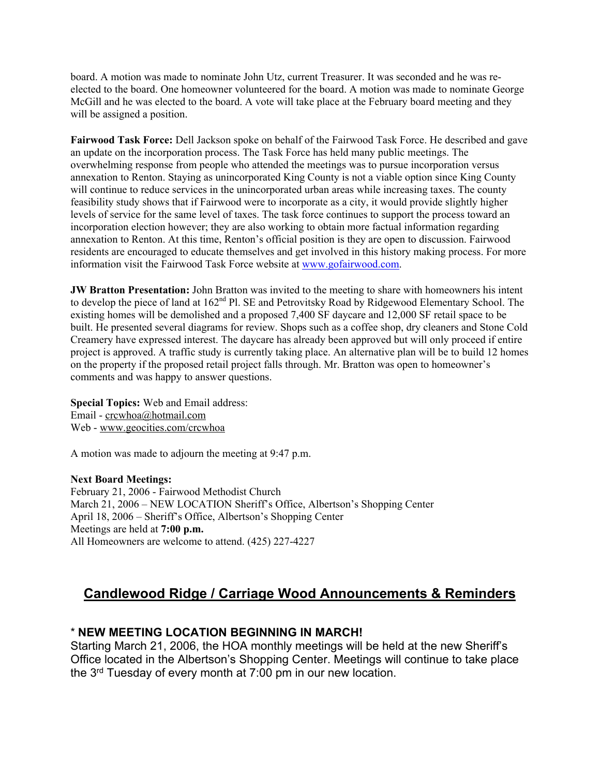board. A motion was made to nominate John Utz, current Treasurer. It was seconded and he was reelected to the board. One homeowner volunteered for the board. A motion was made to nominate George McGill and he was elected to the board. A vote will take place at the February board meeting and they will be assigned a position.

**Fairwood Task Force:** Dell Jackson spoke on behalf of the Fairwood Task Force. He described and gave an update on the incorporation process. The Task Force has held many public meetings. The overwhelming response from people who attended the meetings was to pursue incorporation versus annexation to Renton. Staying as unincorporated King County is not a viable option since King County will continue to reduce services in the unincorporated urban areas while increasing taxes. The county feasibility study shows that if Fairwood were to incorporate as a city, it would provide slightly higher levels of service for the same level of taxes. The task force continues to support the process toward an incorporation election however; they are also working to obtain more factual information regarding annexation to Renton. At this time, Renton's official position is they are open to discussion. Fairwood residents are encouraged to educate themselves and get involved in this history making process. For more information visit the Fairwood Task Force website at www.gofairwood.com.

**JW Bratton Presentation:** John Bratton was invited to the meeting to share with homeowners his intent to develop the piece of land at 162<sup>nd</sup> Pl. SE and Petrovitsky Road by Ridgewood Elementary School. The existing homes will be demolished and a proposed 7,400 SF daycare and 12,000 SF retail space to be built. He presented several diagrams for review. Shops such as a coffee shop, dry cleaners and Stone Cold Creamery have expressed interest. The daycare has already been approved but will only proceed if entire project is approved. A traffic study is currently taking place. An alternative plan will be to build 12 homes on the property if the proposed retail project falls through. Mr. Bratton was open to homeowner's comments and was happy to answer questions.

**Special Topics:** Web and Email address: Email - crcwhoa@hotmail.com Web - www.geocities.com/crcwhoa

A motion was made to adjourn the meeting at 9:47 p.m.

#### **Next Board Meetings:**

February 21, 2006 - Fairwood Methodist Church March 21, 2006 – NEW LOCATION Sheriff's Office, Albertson's Shopping Center April 18, 2006 – Sheriff's Office, Albertson's Shopping Center Meetings are held at **7:00 p.m.** All Homeowners are welcome to attend. (425) 227-4227

# **Candlewood Ridge / Carriage Wood Announcements & Reminders**

## \* **NEW MEETING LOCATION BEGINNING IN MARCH!**

Starting March 21, 2006, the HOA monthly meetings will be held at the new Sheriff's Office located in the Albertson's Shopping Center. Meetings will continue to take place the 3rd Tuesday of every month at 7:00 pm in our new location.